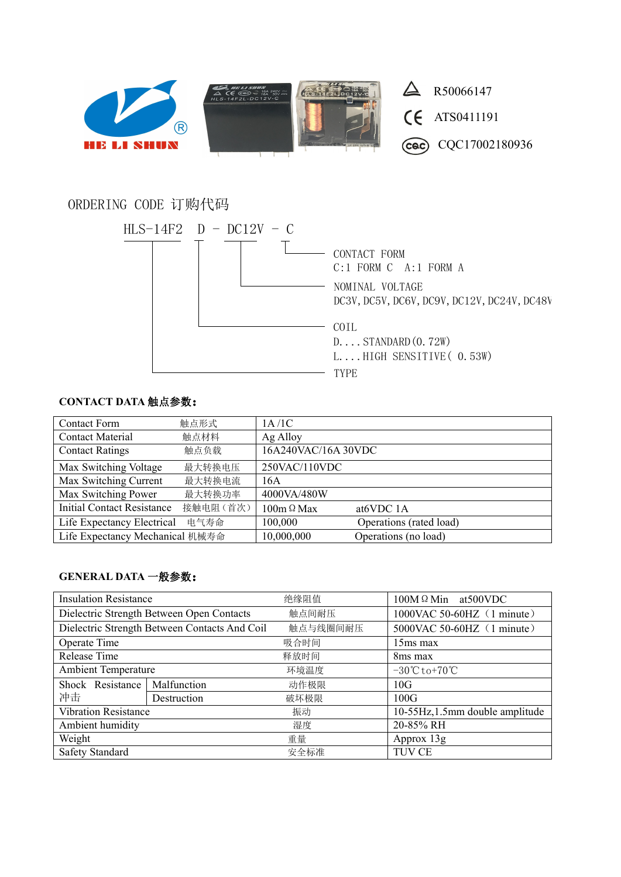

# ORDERING CODE 订购代码



## **CONTACT DATA** 触点参数:

| <b>Contact Form</b>               | 触点形式     | 1A/1C               |                         |
|-----------------------------------|----------|---------------------|-------------------------|
| <b>Contact Material</b>           | 触点材料     | Ag Alloy            |                         |
| <b>Contact Ratings</b>            | 触点负载     | 16A240VAC/16A 30VDC |                         |
| Max Switching Voltage             | 最大转换电压   | 250VAC/110VDC       |                         |
| Max Switching Current             | 最大转换电流   | 16A                 |                         |
| Max Switching Power               | 最大转换功率   | 4000VA/480W         |                         |
| <b>Initial Contact Resistance</b> | 接触电阻(首次) | $100m \Omega$ Max   | at <sub>6</sub> VDC 1A  |
| Life Expectancy Electrical        | 电气寿命     | 100,000             | Operations (rated load) |
| Life Expectancy Mechanical 机械寿命   |          | 10,000,000          | Operations (no load)    |

### **GENERAL DATA** 一般参数:

| <b>Insulation Resistance</b>                  |             | 绝缘阻值     | $100M \Omega$ Min at 500 VDC                   |  |
|-----------------------------------------------|-------------|----------|------------------------------------------------|--|
| Dielectric Strength Between Open Contacts     |             | 触点间耐压    | 1000VAC 50-60HZ (1 minute)                     |  |
| Dielectric Strength Between Contacts And Coil |             | 触点与线圈间耐压 | 5000VAC 50-60HZ (1 minute)                     |  |
| Operate Time                                  |             | 吸合时间     | $15ms$ max                                     |  |
| Release Time                                  |             | 释放时间     | 8 <sub>ms</sub> max                            |  |
| <b>Ambient Temperature</b>                    |             | 环境温度     | $-30^{\circ}\text{C}$ to $+70^{\circ}\text{C}$ |  |
| Shock Resistance                              | Malfunction | 动作极限     | 10G                                            |  |
| 冲击                                            | Destruction | 破坏极限     | 100G                                           |  |
| <b>Vibration Resistance</b><br>振动             |             |          | 10-55Hz, 1.5mm double amplitude                |  |
| Ambient humidity                              |             | 湿度       | 20-85% RH                                      |  |
| Weight                                        |             | 重量       | Approx $13g$                                   |  |
| Safety Standard                               |             | 安全标准     | TUV CE                                         |  |